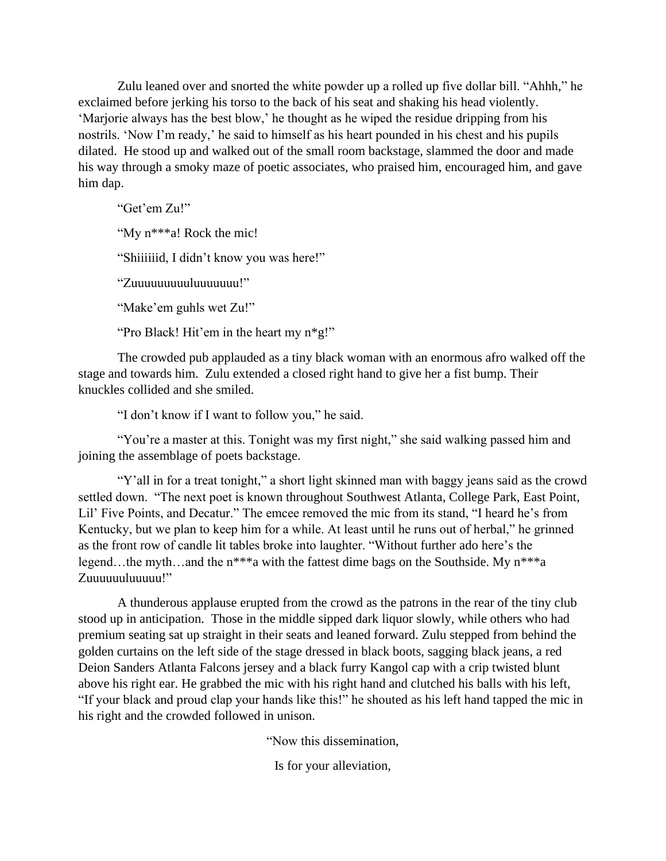Zulu leaned over and snorted the white powder up a rolled up five dollar bill. "Ahhh," he exclaimed before jerking his torso to the back of his seat and shaking his head violently. 'Marjorie always has the best blow,' he thought as he wiped the residue dripping from his nostrils. 'Now I'm ready,' he said to himself as his heart pounded in his chest and his pupils dilated. He stood up and walked out of the small room backstage, slammed the door and made his way through a smoky maze of poetic associates, who praised him, encouraged him, and gave him dap.

"Get'em Zu!" "My n\*\*\*a! Rock the mic!

"Shiiiiiid, I didn't know you was here!"

"Zuuuuuuuuuluuuuuuu!"

"Make'em guhls wet Zu!"

"Pro Black! Hit'em in the heart my n\*g!"

The crowded pub applauded as a tiny black woman with an enormous afro walked off the stage and towards him. Zulu extended a closed right hand to give her a fist bump. Their knuckles collided and she smiled.

"I don't know if I want to follow you," he said.

"You're a master at this. Tonight was my first night," she said walking passed him and joining the assemblage of poets backstage.

"Y'all in for a treat tonight," a short light skinned man with baggy jeans said as the crowd settled down. "The next poet is known throughout Southwest Atlanta, College Park, East Point, Lil' Five Points, and Decatur." The emcee removed the mic from its stand, "I heard he's from Kentucky, but we plan to keep him for a while. At least until he runs out of herbal," he grinned as the front row of candle lit tables broke into laughter. "Without further ado here's the legend…the myth…and the n\*\*\*a with the fattest dime bags on the Southside. My n\*\*\*a Zuuuuuuluuuuu!"

A thunderous applause erupted from the crowd as the patrons in the rear of the tiny club stood up in anticipation. Those in the middle sipped dark liquor slowly, while others who had premium seating sat up straight in their seats and leaned forward. Zulu stepped from behind the golden curtains on the left side of the stage dressed in black boots, sagging black jeans, a red Deion Sanders Atlanta Falcons jersey and a black furry Kangol cap with a crip twisted blunt above his right ear. He grabbed the mic with his right hand and clutched his balls with his left, "If your black and proud clap your hands like this!" he shouted as his left hand tapped the mic in his right and the crowded followed in unison.

"Now this dissemination,

Is for your alleviation,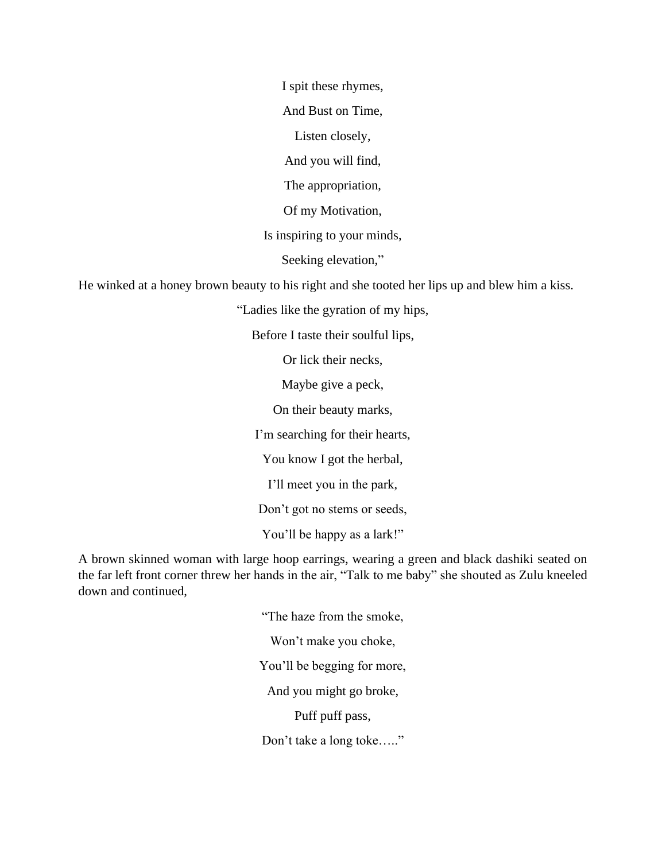I spit these rhymes,

And Bust on Time,

Listen closely,

And you will find,

The appropriation,

Of my Motivation,

Is inspiring to your minds,

Seeking elevation,"

He winked at a honey brown beauty to his right and she tooted her lips up and blew him a kiss.

"Ladies like the gyration of my hips,

Before I taste their soulful lips,

Or lick their necks,

Maybe give a peck,

On their beauty marks,

I'm searching for their hearts,

You know I got the herbal,

I'll meet you in the park,

Don't got no stems or seeds,

You'll be happy as a lark!"

A brown skinned woman with large hoop earrings, wearing a green and black dashiki seated on the far left front corner threw her hands in the air, "Talk to me baby" she shouted as Zulu kneeled down and continued,

> "The haze from the smoke, Won't make you choke, You'll be begging for more, And you might go broke, Puff puff pass,

Don't take a long toke….."